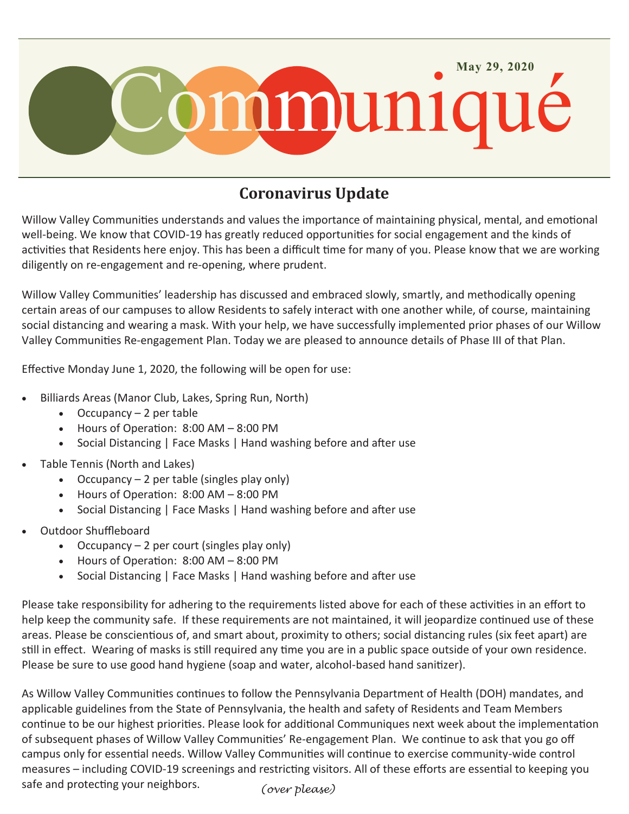

## **Coronavirus Update**

Willow Valley Communities understands and values the importance of maintaining physical, mental, and emotional well-being. We know that COVID-19 has greatly reduced opportunities for social engagement and the kinds of activities that Residents here enjoy. This has been a difficult time for many of you. Please know that we are working diligently on re-engagement and re-opening, where prudent.

Willow Valley Communities' leadership has discussed and embraced slowly, smartly, and methodically opening certain areas of our campuses to allow Residents to safely interact with one another while, of course, maintaining social distancing and wearing a mask. With your help, we have successfully implemented prior phases of our Willow Valley Communities Re-engagement Plan. Today we are pleased to announce details of Phase III of that Plan.

Effective Monday June 1, 2020, the following will be open for use:

- Billiards Areas (Manor Club, Lakes, Spring Run, North)
	- $\bullet$  Occupancy 2 per table
	- Hours of Operation: 8:00 AM 8:00 PM
	- Social Distancing | Face Masks | Hand washing before and after use
- Table Tennis (North and Lakes)
	- Occupancy  $-2$  per table (singles play only)
	- Hours of Operation: 8:00 AM 8:00 PM
	- Social Distancing | Face Masks | Hand washing before and after use
- Outdoor Shuffleboard
	- Occupancy  $-2$  per court (singles play only)
	- Hours of Operation: 8:00 AM 8:00 PM
	- Social Distancing | Face Masks | Hand washing before and after use

Please take responsibility for adhering to the requirements listed above for each of these activities in an effort to help keep the community safe. If these requirements are not maintained, it will jeopardize continued use of these areas. Please be conscientious of, and smart about, proximity to others; social distancing rules (six feet apart) are still in effect. Wearing of masks is still required any time you are in a public space outside of your own residence. Please be sure to use good hand hygiene (soap and water, alcohol-based hand sanitizer).

*(over please)* As Willow Valley Communities continues to follow the Pennsylvania Department of Health (DOH) mandates, and applicable guidelines from the State of Pennsylvania, the health and safety of Residents and Team Members continue to be our highest priorities. Please look for additional Communiques next week about the implementation of subsequent phases of Willow Valley Communities' Re-engagement Plan. We continue to ask that you go off campus only for essential needs. Willow Valley Communities will continue to exercise community-wide control measures – including COVID-19 screenings and restricting visitors. All of these efforts are essential to keeping you safe and protecting your neighbors.